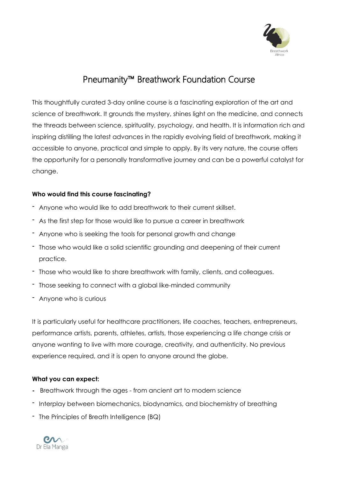

# Pneumanity™ Breathwork Foundation Course

This thoughtfully curated 3-day online course is a fascinating exploration of the art and science of breathwork. It grounds the mystery, shines light on the medicine, and connects the threads between science, spirituality, psychology, and health. It is information rich and inspiring distilling the latest advances in the rapidly evolving field of breathwork, making it accessible to anyone, practical and simple to apply. By its very nature, the course offers the opportunity for a personally transformative journey and can be a powerful catalyst for change.

# **Who would find this course fascinating?**

- Anyone who would like to add breathwork to their current skillset.
- As the first step for those would like to pursue a career in breathwork
- Anyone who is seeking the tools for personal growth and change
- Those who would like a solid scientific grounding and deepening of their current practice.
- Those who would like to share breathwork with family, clients, and colleagues.
- Those seeking to connect with a global like-minded community
- Anyone who is curious

It is particularly useful for healthcare practitioners, life coaches, teachers, entrepreneurs, performance artists, parents, athletes, artists, those experiencing a life change crisis or anyone wanting to live with more courage, creativity, and authenticity. No previous experience required, and it is open to anyone around the globe.

## **What you can expect:**

- **-** Breathwork through the ages from ancient art to modern science
- Interplay between biomechanics, biodynamics, and biochemistry of breathing
- The Principles of Breath Intelligence (BQ)

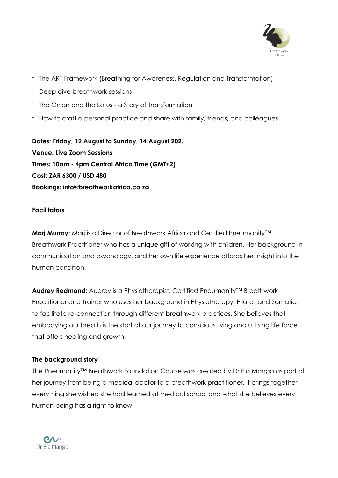

- The ART Framework (Breathing for Awareness, Regulation and Transformation)
- Deep dive breathwork sessions
- The Onion and the Lotus a Story of Transformation
- How to craft a personal practice and share with family, friends, and colleagues

**Dates: Friday, 12 August to Sunday, 14 August 202. Venue: Live Zoom Sessions Times: 10am - 4pm Central Africa Time (GMT+2) Cost: ZAR 6300 / USD 480 Bookings: info@breathworkafrica.co.za**

#### **Facilitators**

**Marj Murray:** Marj is a Director of Breathwork Africa and Certified Pneumanity™ Breathwork Practitioner who has a unique gift of working with children. Her background in communication and psychology, and her own life experience affords her insight into the human condition.

**Audrey Redmond:** Audrey is a Physiotherapist, Certified Pneumanity™ Breathwork Practitioner and Trainer who uses her background in Physiotherapy, Pilates and Somatics to facilitate re-connection through different breathwork practices. She believes that embodying our breath is the start of our journey to conscious living and utilising life force that offers healing and growth.

## **The background story**

The Pneumanity™ Breathwork Foundation Course was created by Dr Ela Manga as part of her journey from being a medical doctor to a breathwork practitioner. It brings together everything she wished she had learned at medical school and what she believes every human being has a right to know.